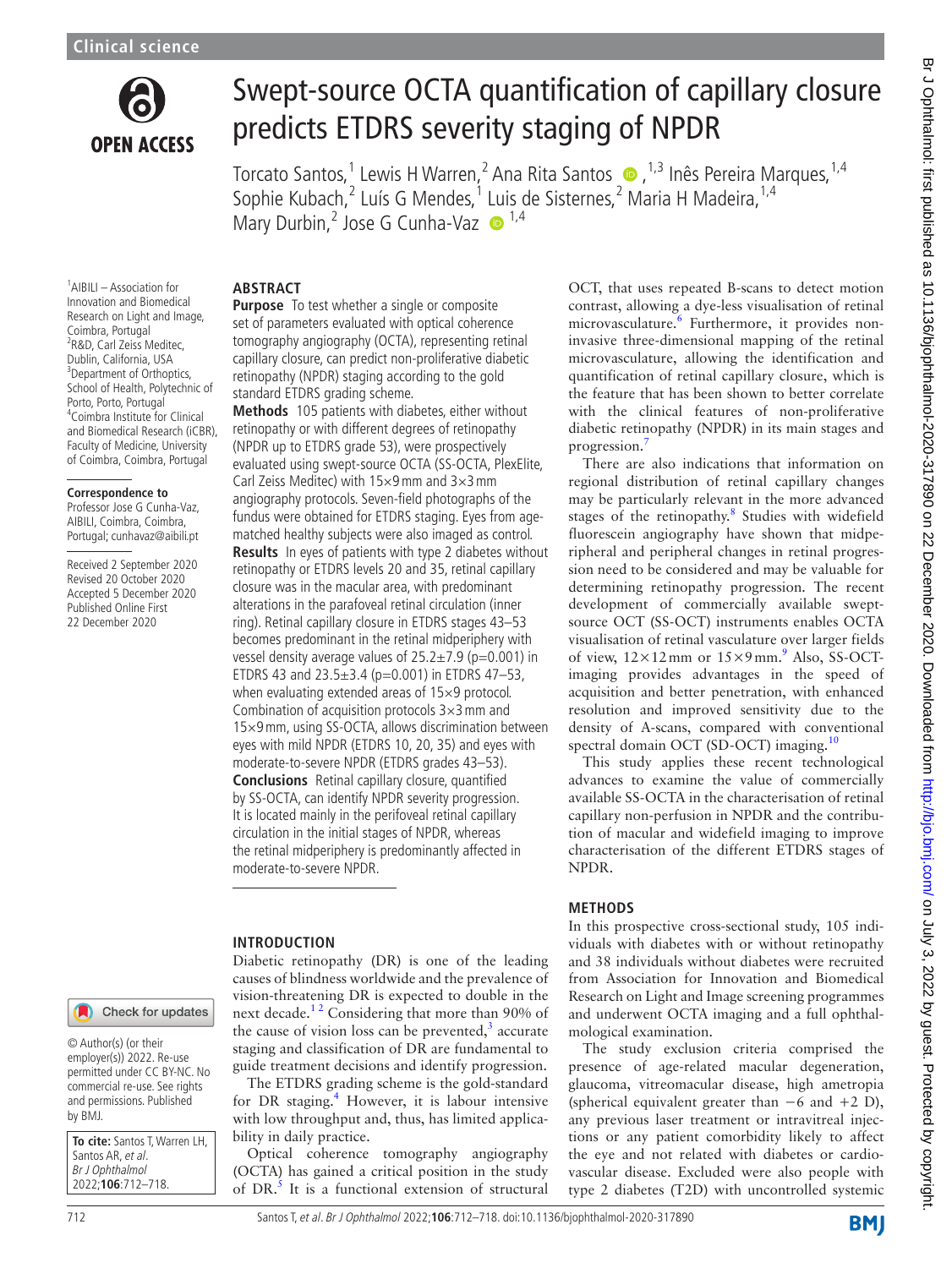

# Swept-source OCTA quantification of capillary closure predicts ETDRS severity staging of NPDR

TorcatoSantos,<sup>1</sup> Lewis H Warren,<sup>2</sup> Ana Rita Santos ●,<sup>1,3</sup> Inês Pereira Marques,<sup>1,4</sup> Sophie Kubach,<sup>2</sup> Luís G Mendes,<sup>1</sup> Luis de Sisternes,<sup>2</sup> Maria H Madeira,<sup>1,4</sup> Mary Durbin,<sup>2</sup> Jose G Cunha-Vaz  $\bullet$ <sup>1,4</sup>

### **ABSTRACT**

1 AIBILI – Association for Innovation and Biomedical Research on Light and Image, Coimbra, Portugal <sup>2</sup>R&D, Carl Zeiss Meditec, Dublin, California, USA <sup>3</sup>Department of Orthoptics, School of Health, Polytechnic of Porto, Porto, Portugal 4 Coimbra Institute for Clinical and Biomedical Research (iCBR), Faculty of Medicine, University of Coimbra, Coimbra, Portugal

### **Correspondence to**

Professor Jose G Cunha-Vaz, AIBILI, Coimbra, Coimbra, Portugal; cunhavaz@aibili.pt

Received 2 September 2020 Revised 20 October 2020 Accepted 5 December 2020 Published Online First 22 December 2020

**Purpose** To test whether a single or composite set of parameters evaluated with optical coherence tomography angiography (OCTA), representing retinal capillary closure, can predict non-proliferative diabetic retinopathy (NPDR) staging according to the gold standard ETDRS grading scheme.

**Methods** 105 patients with diabetes, either without retinopathy or with different degrees of retinopathy (NPDR up to ETDRS grade 53), were prospectively evaluated using swept-source OCTA (SS-OCTA, PlexElite, Carl Zeiss Meditec) with  $15\times9$  mm and  $3\times3$  mm angiography protocols. Seven-field photographs of the fundus were obtained for ETDRS staging. Eyes from agematched healthy subjects were also imaged as control. **Results** In eyes of patients with type 2 diabetes without retinopathy or ETDRS levels 20 and 35, retinal capillary closure was in the macular area, with predominant alterations in the parafoveal retinal circulation (inner ring). Retinal capillary closure in ETDRS stages 43–53 becomes predominant in the retinal midperiphery with vessel density average values of  $25.2 \pm 7.9$  (p=0.001) in ETDRS 43 and  $23.5 \pm 3.4$  (p=0.001) in ETDRS 47-53, when evaluating extended areas of 15×9 protocol. Combination of acquisition protocols 3×3mm and 15×9mm, using SS-OCTA, allows discrimination between eyes with mild NPDR (ETDRS 10, 20, 35) and eyes with moderate-to-severe NPDR (ETDRS grades 43–53). **Conclusions** Retinal capillary closure, quantified by SS-OCTA, can identify NPDR severity progression. It is located mainly in the perifoveal retinal capillary circulation in the initial stages of NPDR, whereas the retinal midperiphery is predominantly affected in moderate-to-severe NPDR.

### **INTRODUCTION**

Diabetic retinopathy (DR) is one of the leading causes of blindness worldwide and the prevalence of vision-threatening DR is expected to double in the next decade.<sup>12</sup> Considering that more than 90% of the cause of vision loss can be prevented, $3$  accurate staging and classification of DR are fundamental to guide treatment decisions and identify progression.

The ETDRS grading scheme is the gold-standard for DR staging.<sup>4</sup> However, it is labour intensive with low throughput and, thus, has limited applicability in daily practice.

Optical coherence tomography angiography (OCTA) has gained a critical position in the study of DR.<sup>[5](#page-6-3)</sup> It is a functional extension of structural OCT, that uses repeated B-scans to detect motion contrast, allowing a dye-less visualisation of retinal microvasculature.<sup>[6](#page-6-4)</sup> Furthermore, it provides noninvasive three-dimensional mapping of the retinal microvasculature, allowing the identification and quantification of retinal capillary closure, which is the feature that has been shown to better correlate with the clinical features of non-proliferative diabetic retinopathy (NPDR) in its main stages and progression.[7](#page-6-5)

There are also indications that information on regional distribution of retinal capillary changes may be particularly relevant in the more advanced stages of the retinopathy.<sup>8</sup> Studies with widefield fluorescein angiography have shown that midperipheral and peripheral changes in retinal progression need to be considered and may be valuable for determining retinopathy progression. The recent development of commercially available sweptsource OCT (SS-OCT) instruments enables OCTA visualisation of retinal vasculature over larger fields of view,  $12 \times 12$  mm or  $15 \times 9$  $15 \times 9$  mm.<sup>9</sup> Also, SS-OCTimaging provides advantages in the speed of acquisition and better penetration, with enhanced resolution and improved sensitivity due to the density of A-scans, compared with conventional spectral domain OCT (SD-OCT) imaging.<sup>10</sup>

This study applies these recent technological advances to examine the value of commercially available SS-OCTA in the characterisation of retinal capillary non-perfusion in NPDR and the contribution of macular and widefield imaging to improve characterisation of the different ETDRS stages of NPDR.

### **METHODS**

In this prospective cross-sectional study, 105 individuals with diabetes with or without retinopathy and 38 individuals without diabetes were recruited from Association for Innovation and Biomedical Research on Light and Image screening programmes and underwent OCTA imaging and a full ophthalmological examination.

The study exclusion criteria comprised the presence of age-related macular degeneration, glaucoma, vitreomacular disease, high ametropia (spherical equivalent greater than  $-6$  and  $+2$  D), any previous laser treatment or intravitreal injections or any patient comorbidity likely to affect the eye and not related with diabetes or cardiovascular disease. Excluded were also people with type 2 diabetes (T2D) with uncontrolled systemic

### Check for updates

© Author(s) (or their employer(s)) 2022. Re-use permitted under CC BY-NC. No commercial re-use. See rights and permissions. Published by BMJ.

**To cite:** Santos T, Warren LH, Santos AR, et al. Br J Ophthalmol 2022;**106**:712–718.

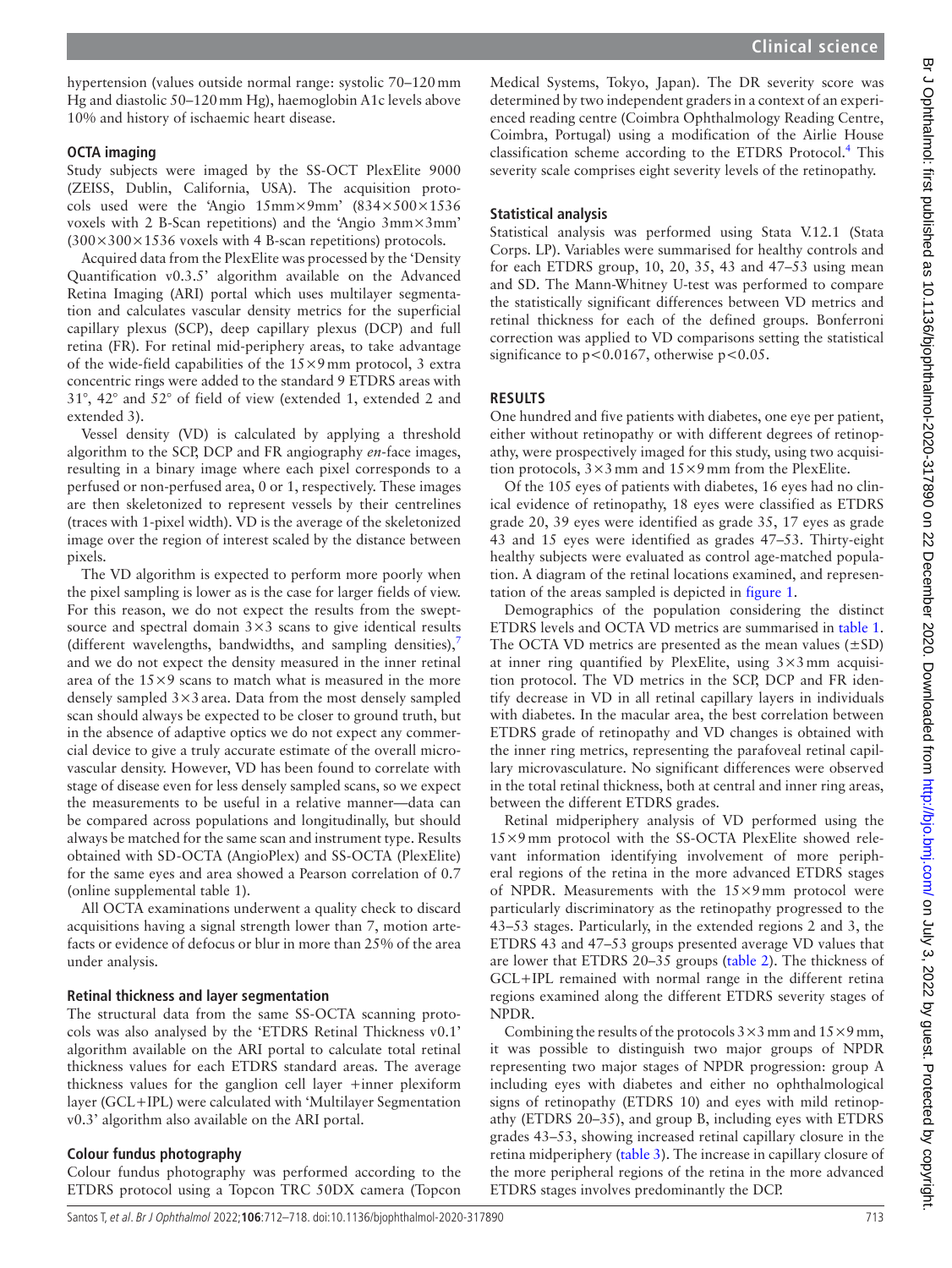hypertension (values outside normal range: systolic 70–120mm Hg and diastolic 50–120mm Hg), haemoglobin A1c levels above 10% and history of ischaemic heart disease.

### **OCTA imaging**

Study subjects were imaged by the SS-OCT PlexElite 9000 (ZEISS, Dublin, California, USA). The acquisition protocols used were the 'Angio 15mm×9mm' (834×500×1536 voxels with 2 B-Scan repetitions) and the 'Angio 3mm×3mm'  $(300\times300\times1536$  voxels with 4 B-scan repetitions) protocols.

Acquired data from the PlexElite was processed by the 'Density Quantification v0.3.5' algorithm available on the Advanced Retina Imaging (ARI) portal which uses multilayer segmentation and calculates vascular density metrics for the superficial capillary plexus (SCP), deep capillary plexus (DCP) and full retina (FR). For retinal mid-periphery areas, to take advantage of the wide-field capabilities of the  $15\times9$  mm protocol, 3 extra concentric rings were added to the standard 9 ETDRS areas with 31°, 42° and 52° of field of view (extended 1, extended 2 and extended 3).

Vessel density (VD) is calculated by applying a threshold algorithm to the SCP, DCP and FR angiography *en*-face images, resulting in a binary image where each pixel corresponds to a perfused or non-perfused area, 0 or 1, respectively. These images are then skeletonized to represent vessels by their centrelines (traces with 1-pixel width). VD is the average of the skeletonized image over the region of interest scaled by the distance between pixels.

The VD algorithm is expected to perform more poorly when the pixel sampling is lower as is the case for larger fields of view. For this reason, we do not expect the results from the sweptsource and spectral domain  $3\times3$  scans to give identical results (different wavelengths, bandwidths, and sampling densities), $\overline{y}$ and we do not expect the density measured in the inner retinal area of the  $15\times9$  scans to match what is measured in the more densely sampled  $3\times3$  area. Data from the most densely sampled scan should always be expected to be closer to ground truth, but in the absence of adaptive optics we do not expect any commercial device to give a truly accurate estimate of the overall microvascular density. However, VD has been found to correlate with stage of disease even for less densely sampled scans, so we expect the measurements to be useful in a relative manner—data can be compared across populations and longitudinally, but should always be matched for the same scan and instrument type. Results obtained with SD-OCTA (AngioPlex) and SS-OCTA (PlexElite) for the same eyes and area showed a Pearson correlation of 0.7 ([online supplemental table 1](https://dx.doi.org/10.1136/bjophthalmol-2020-317890)).

All OCTA examinations underwent a quality check to discard acquisitions having a signal strength lower than 7, motion artefacts or evidence of defocus or blur in more than 25% of the area under analysis.

### **Retinal thickness and layer segmentation**

The structural data from the same SS-OCTA scanning protocols was also analysed by the 'ETDRS Retinal Thickness v0.1' algorithm available on the ARI portal to calculate total retinal thickness values for each ETDRS standard areas. The average thickness values for the ganglion cell layer +inner plexiform layer (GCL+IPL) were calculated with 'Multilayer Segmentation v0.3' algorithm also available on the ARI portal.

### **Colour fundus photography**

Colour fundus photography was performed according to the ETDRS protocol using a Topcon TRC 50DX camera (Topcon

Medical Systems, Tokyo, Japan). The DR severity score was determined by two independent graders in a context of an experienced reading centre (Coimbra Ophthalmology Reading Centre, Coimbra, Portugal) using a modification of the Airlie House classification scheme according to the ETDRS Protocol.<sup>4</sup> This severity scale comprises eight severity levels of the retinopathy.

### **Statistical analysis**

Statistical analysis was performed using Stata V.12.1 (Stata Corps. LP). Variables were summarised for healthy controls and for each ETDRS group, 10, 20, 35, 43 and 47–53 using mean and SD. The Mann-Whitney U-test was performed to compare the statistically significant differences between VD metrics and retinal thickness for each of the defined groups. Bonferroni correction was applied to VD comparisons setting the statistical significance to  $p < 0.0167$ , otherwise  $p < 0.05$ .

### **RESULTS**

One hundred and five patients with diabetes, one eye per patient, either without retinopathy or with different degrees of retinopathy, were prospectively imaged for this study, using two acquisition protocols,  $3 \times 3$  mm and  $15 \times 9$  mm from the PlexElite.

Of the 105 eyes of patients with diabetes, 16 eyes had no clinical evidence of retinopathy, 18 eyes were classified as ETDRS grade 20, 39 eyes were identified as grade 35, 17 eyes as grade 43 and 15 eyes were identified as grades 47–53. Thirty-eight healthy subjects were evaluated as control age-matched population. A diagram of the retinal locations examined, and representation of the areas sampled is depicted in [figure](#page-2-0) 1.

Demographics of the population considering the distinct ETDRS levels and OCTA VD metrics are summarised in [table](#page-3-0) 1. The OCTA VD metrics are presented as the mean values  $(\pm SD)$ at inner ring quantified by PlexElite, using  $3 \times 3$  mm acquisition protocol. The VD metrics in the SCP, DCP and FR identify decrease in VD in all retinal capillary layers in individuals with diabetes. In the macular area, the best correlation between ETDRS grade of retinopathy and VD changes is obtained with the inner ring metrics, representing the parafoveal retinal capillary microvasculature. No significant differences were observed in the total retinal thickness, both at central and inner ring areas, between the different ETDRS grades.

Retinal midperiphery analysis of VD performed using the 15×9mm protocol with the SS-OCTA PlexElite showed relevant information identifying involvement of more peripheral regions of the retina in the more advanced ETDRS stages of NPDR. Measurements with the 15×9mm protocol were particularly discriminatory as the retinopathy progressed to the 43–53 stages. Particularly, in the extended regions 2 and 3, the ETDRS 43 and 47–53 groups presented average VD values that are lower that ETDRS 20–35 groups [\(table](#page-4-0) 2). The thickness of GCL+IPL remained with normal range in the different retina regions examined along the different ETDRS severity stages of NPDR.

Combining the results of the protocols  $3 \times 3$  mm and  $15 \times 9$  mm, it was possible to distinguish two major groups of NPDR representing two major stages of NPDR progression: group A including eyes with diabetes and either no ophthalmological signs of retinopathy (ETDRS 10) and eyes with mild retinopathy (ETDRS 20–35), and group B, including eyes with ETDRS grades 43–53, showing increased retinal capillary closure in the retina midperiphery [\(table](#page-5-0) 3). The increase in capillary closure of the more peripheral regions of the retina in the more advanced ETDRS stages involves predominantly the DCP.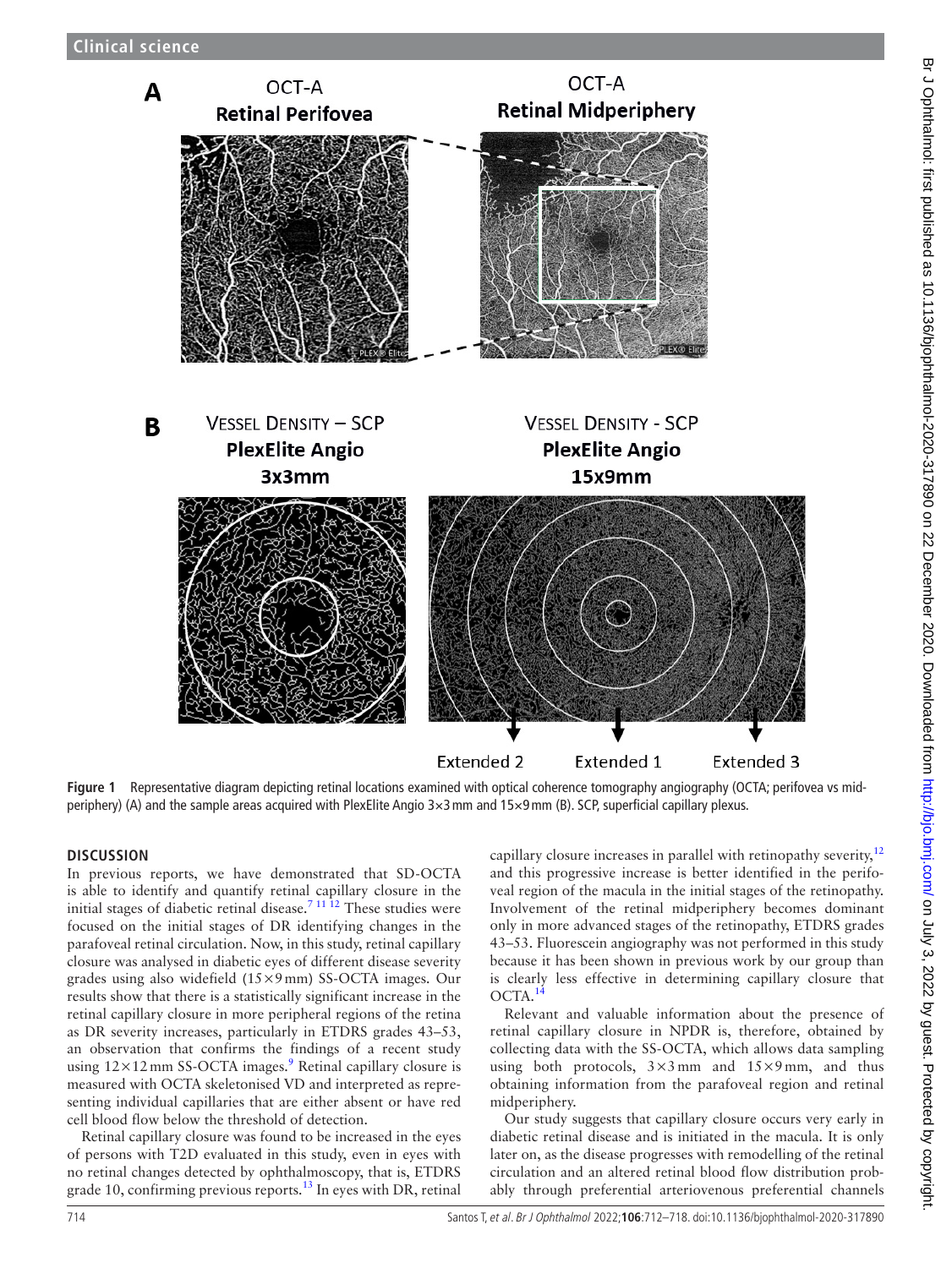

<span id="page-2-0"></span>**Figure 1** Representative diagram depicting retinal locations examined with optical coherence tomography angiography (OCTA; perifovea vs midperiphery) (A) and the sample areas acquired with PlexElite Angio 3×3mm and 15×9mm (B). SCP, superficial capillary plexus.

### **DISCUSSION**

In previous reports, we have demonstrated that SD-OCTA is able to identify and quantify retinal capillary closure in the initial stages of diabetic retinal disease.<sup>7 11 12</sup> These studies were focused on the initial stages of DR identifying changes in the parafoveal retinal circulation. Now, in this study, retinal capillary closure was analysed in diabetic eyes of different disease severity grades using also widefield (15×9mm) SS-OCTA images. Our results show that there is a statistically significant increase in the retinal capillary closure in more peripheral regions of the retina as DR severity increases, particularly in ETDRS grades 43–53, an observation that confirms the findings of a recent study using  $12 \times 12$  mm SS-OCTA images.<sup>[9](#page-6-7)</sup> Retinal capillary closure is measured with OCTA skeletonised VD and interpreted as representing individual capillaries that are either absent or have red cell blood flow below the threshold of detection.

Retinal capillary closure was found to be increased in the eyes of persons with T2D evaluated in this study, even in eyes with no retinal changes detected by ophthalmoscopy, that is, ETDRS grade 10, confirming previous reports.<sup>[13](#page-6-9)</sup> In eyes with DR, retinal capillary closure increases in parallel with retinopathy severity,<sup>[12](#page-6-10)</sup> and this progressive increase is better identified in the perifoveal region of the macula in the initial stages of the retinopathy. Involvement of the retinal midperiphery becomes dominant only in more advanced stages of the retinopathy, ETDRS grades 43–53. Fluorescein angiography was not performed in this study because it has been shown in previous work by our group than is clearly less effective in determining capillary closure that OCTA.[14](#page-6-11)

Relevant and valuable information about the presence of retinal capillary closure in NPDR is, therefore, obtained by collecting data with the SS-OCTA, which allows data sampling using both protocols,  $3 \times 3$  mm and  $15 \times 9$  mm, and thus obtaining information from the parafoveal region and retinal midperiphery.

Our study suggests that capillary closure occurs very early in diabetic retinal disease and is initiated in the macula. It is only later on, as the disease progresses with remodelling of the retinal circulation and an altered retinal blood flow distribution probably through preferential arteriovenous preferential channels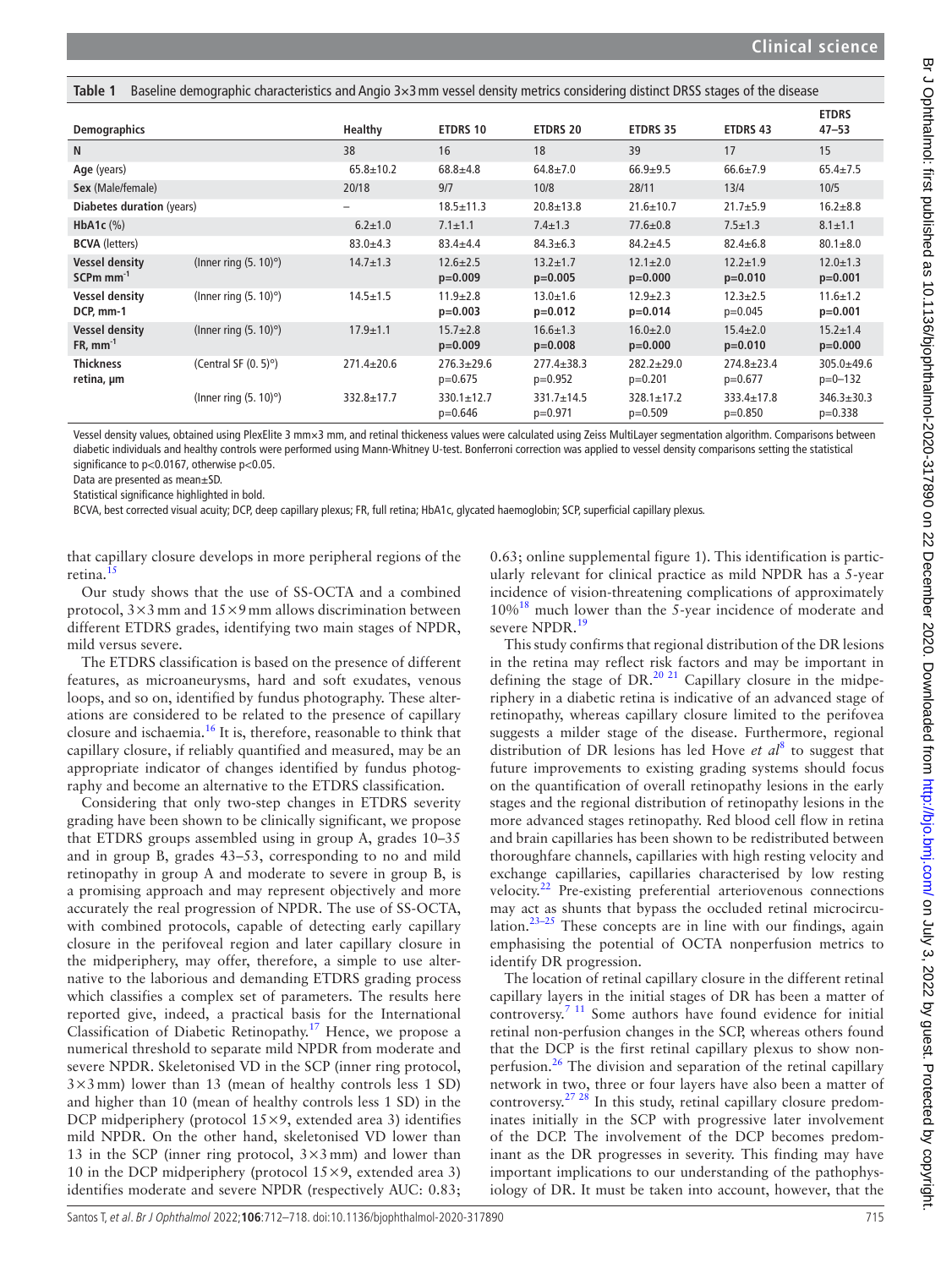<span id="page-3-0"></span>

|  |  | Table 1 Baseline demographic characteristics and Angio 3×3 mm vessel density metrics considering distinct DRSS stages of the disease |
|--|--|--------------------------------------------------------------------------------------------------------------------------------------|
|  |  |                                                                                                                                      |

| <b>Demographics</b>                              |                              | Healthy           | <b>ETDRS 10</b>               | <b>ETDRS 20</b>               | <b>ETDRS 35</b>               | <b>ETDRS 43</b>               | <b>ETDRS</b><br>$47 - 53$     |
|--------------------------------------------------|------------------------------|-------------------|-------------------------------|-------------------------------|-------------------------------|-------------------------------|-------------------------------|
| N                                                |                              | 38                | 16                            | 18                            | 39                            | 17                            | 15                            |
| Age (years)                                      |                              | $65.8 \pm 10.2$   | $68.8 + 4.8$                  | $64.8 \pm 7.0$                | $66.9 + 9.5$                  | $66.6 \pm 7.9$                | $65.4 \pm 7.5$                |
| Sex (Male/female)                                |                              | 20/18             | 9/7                           | 10/8                          | 28/11                         | 13/4                          | 10/5                          |
| Diabetes duration (years)                        |                              | $\qquad \qquad -$ | $18.5 \pm 11.3$               | $20.8 \pm 13.8$               | $21.6 \pm 10.7$               | $21.7 + 5.9$                  | $16.2 + 8.8$                  |
| HbA1c $(\%)$                                     |                              | $6.2 \pm 1.0$     | $7.1 \pm 1.1$                 | $7.4 \pm 1.3$                 | $77.6 \pm 0.8$                | $7.5 \pm 1.3$                 | $8.1 \pm 1.1$                 |
| <b>BCVA</b> (letters)                            |                              | $83.0 + 4.3$      | $83.4 + 4.4$                  | $84.3 \pm 6.3$                | $84.2 + 4.5$                  | $82.4 \pm 6.8$                | $80.1 \pm 8.0$                |
| <b>Vessel density</b><br>$SCPm$ mm <sup>-1</sup> | (Inner ring $(5.10)^\circ$ ) | $14.7 \pm 1.3$    | $12.6 \pm 2.5$<br>$p=0.009$   | $13.2 \pm 1.7$<br>$p=0.005$   | $12.1 \pm 2.0$<br>$p=0.000$   | $12.2 \pm 1.9$<br>$p=0.010$   | $12.0 \pm 1.3$<br>$p=0.001$   |
| <b>Vessel density</b><br>DCP, mm-1               | (Inner ring $(5.10)^\circ$ ) | $14.5 \pm 1.5$    | $11.9 \pm 2.8$<br>$p=0.003$   | $13.0 \pm 1.6$<br>$p=0.012$   | $12.9 \pm 2.3$<br>$p=0.014$   | $12.3 \pm 2.5$<br>$p=0.045$   | $11.6 \pm 1.2$<br>$p=0.001$   |
| <b>Vessel density</b><br>$FR, mm^{-1}$           | (Inner ring $(5.10)^\circ$ ) | $17.9 \pm 1.1$    | $15.7 \pm 2.8$<br>$p=0.009$   | $16.6 \pm 1.3$<br>$p=0.008$   | $16.0 \pm 2.0$<br>$p=0.000$   | $15.4 \pm 2.0$<br>$p=0.010$   | $15.2 \pm 1.4$<br>$p=0.000$   |
| <b>Thickness</b><br>retina, µm                   | (Central SF $(0.5)^\circ$ )  | $271.4 \pm 20.6$  | $276.3 + 29.6$<br>$p=0.675$   | $277.4 \pm 38.3$<br>$p=0.952$ | $282.2 \pm 29.0$<br>$p=0.201$ | $274.8 \pm 23.4$<br>$p=0.677$ | $305.0 + 49.6$<br>$p=0-132$   |
|                                                  | (Inner ring $(5.10)^\circ$ ) | 332.8±17.7        | $330.1 \pm 12.7$<br>$p=0.646$ | $331.7 \pm 14.5$<br>$p=0.971$ | $328.1 \pm 17.2$<br>$p=0.509$ | $333.4 \pm 17.8$<br>$p=0.850$ | $346.3 \pm 30.3$<br>$p=0.338$ |

Vessel density values, obtained using PlexElite 3 mm×3 mm, and retinal thickeness values were calculated using Zeiss MultiLayer segmentation algorithm. Comparisons between diabetic individuals and healthy controls were performed using Mann-Whitney U-test. Bonferroni correction was applied to vessel density comparisons setting the statistical significance to p<0.0167, otherwise p<0.05.

Data are presented as mean±SD.

Statistical significance highlighted in bold.

BCVA, best corrected visual acuity; DCP, deep capillary plexus; FR, full retina; HbA1c, glycated haemoglobin; SCP, superficial capillary plexus.

that capillary closure develops in more peripheral regions of the retina.<sup>[15](#page-6-12)</sup>

Our study shows that the use of SS-OCTA and a combined protocol,  $3 \times 3$  mm and  $15 \times 9$  mm allows discrimination between different ETDRS grades, identifying two main stages of NPDR, mild versus severe.

The ETDRS classification is based on the presence of different features, as microaneurysms, hard and soft exudates, venous loops, and so on, identified by fundus photography. These alterations are considered to be related to the presence of capillary closure and ischaemia[.16](#page-6-13) It is, therefore, reasonable to think that capillary closure, if reliably quantified and measured, may be an appropriate indicator of changes identified by fundus photography and become an alternative to the ETDRS classification.

Considering that only two-step changes in ETDRS severity grading have been shown to be clinically significant, we propose that ETDRS groups assembled using in group A, grades 10–35 and in group B, grades 43–53, corresponding to no and mild retinopathy in group A and moderate to severe in group B, is a promising approach and may represent objectively and more accurately the real progression of NPDR. The use of SS-OCTA, with combined protocols, capable of detecting early capillary closure in the perifoveal region and later capillary closure in the midperiphery, may offer, therefore, a simple to use alternative to the laborious and demanding ETDRS grading process which classifies a complex set of parameters. The results here reported give, indeed, a practical basis for the International Classification of Diabetic Retinopathy.[17](#page-6-14) Hence, we propose a numerical threshold to separate mild NPDR from moderate and severe NPDR. Skeletonised VD in the SCP (inner ring protocol,  $3\times3$  mm) lower than 13 (mean of healthy controls less 1 SD) and higher than 10 (mean of healthy controls less 1 SD) in the DCP midperiphery (protocol  $15\times9$ , extended area 3) identifies mild NPDR. On the other hand, skeletonised VD lower than 13 in the SCP (inner ring protocol,  $3 \times 3$  mm) and lower than 10 in the DCP midperiphery (protocol  $15\times9$ , extended area 3) identifies moderate and severe NPDR (respectively AUC: 0.83;

0.63; [online supplemental figure 1](https://dx.doi.org/10.1136/bjophthalmol-2020-317890)). This identification is particularly relevant for clinical practice as mild NPDR has a 5-year incidence of vision-threatening complications of approximately 10%[18](#page-6-15) much lower than the 5-year incidence of moderate and severe NPDR.<sup>[19](#page-6-16)</sup>

This study confirms that regional distribution of the DR lesions in the retina may reflect risk factors and may be important in defining the stage of DR.<sup>20 21</sup> Capillary closure in the midperiphery in a diabetic retina is indicative of an advanced stage of retinopathy, whereas capillary closure limited to the perifovea suggests a milder stage of the disease. Furthermore, regional distribution of DR lesions has led Hove *et al*[8](#page-6-6) to suggest that future improvements to existing grading systems should focus on the quantification of overall retinopathy lesions in the early stages and the regional distribution of retinopathy lesions in the more advanced stages retinopathy. Red blood cell flow in retina and brain capillaries has been shown to be redistributed between thoroughfare channels, capillaries with high resting velocity and exchange capillaries, capillaries characterised by low resting velocity.<sup>22</sup> Pre-existing preferential arteriovenous connections may act as shunts that bypass the occluded retinal microcirculation.<sup>23–25</sup> These concepts are in line with our findings, again emphasising the potential of OCTA nonperfusion metrics to identify DR progression.

The location of retinal capillary closure in the different retinal capillary layers in the initial stages of DR has been a matter of controversy.<sup>7 11</sup> Some authors have found evidence for initial retinal non-perfusion changes in the SCP, whereas others found that the DCP is the first retinal capillary plexus to show non-perfusion.<sup>[26](#page-6-20)</sup> The division and separation of the retinal capillary network in two, three or four layers have also been a matter of controversy.[27 28](#page-6-21) In this study, retinal capillary closure predominates initially in the SCP with progressive later involvement of the DCP. The involvement of the DCP becomes predominant as the DR progresses in severity. This finding may have important implications to our understanding of the pathophysiology of DR. It must be taken into account, however, that the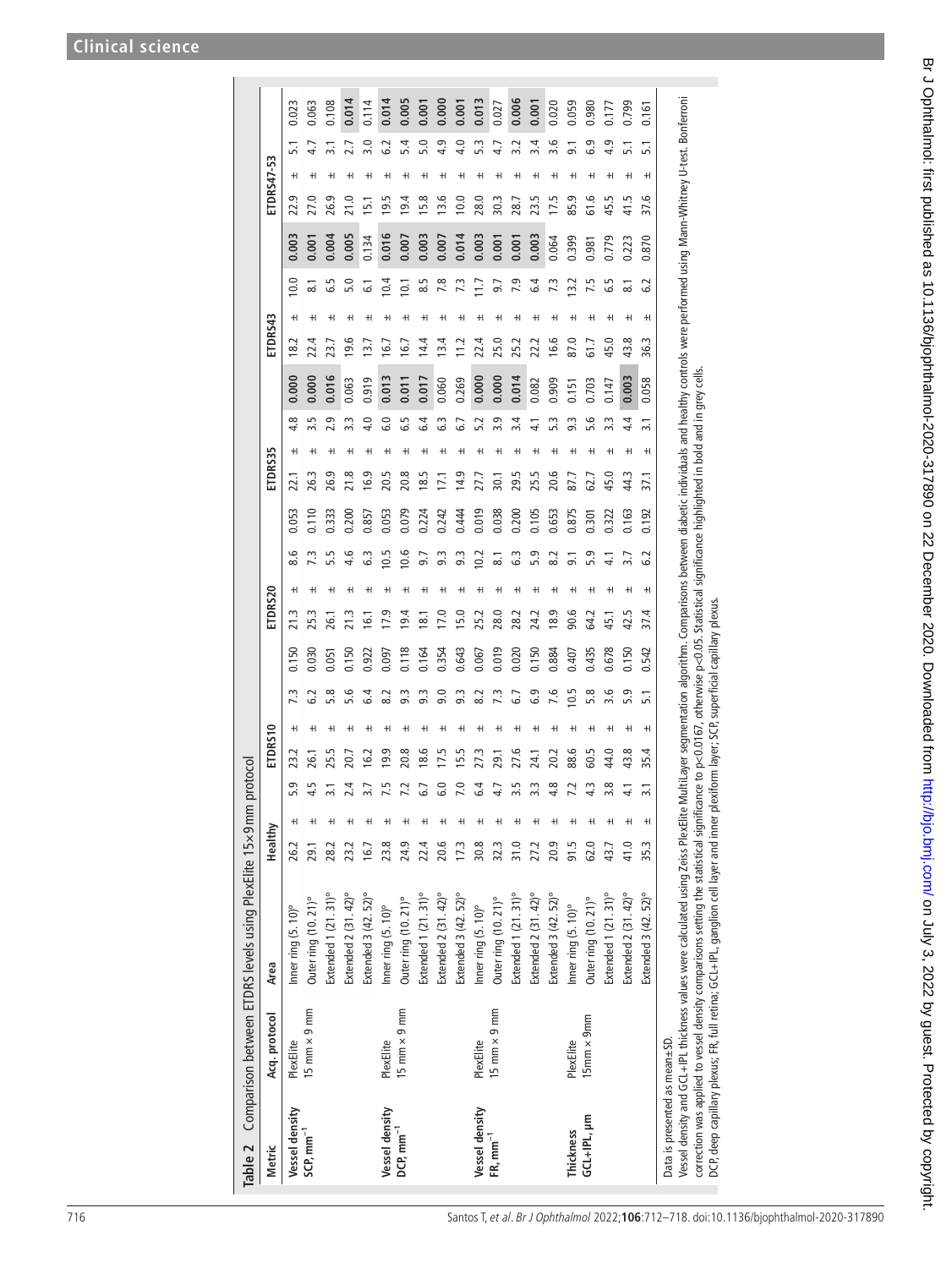<span id="page-4-0"></span>

| Table 2                       |                      | Comparison between ETDRS levels using PlexElite 15x9 mm protocol                                                                                                                                                                   |         |   |                  |             |                 |           |       |                  |   |           |                                                                                                    |         |   |                  |       |               |   |                              |       |      |                 |                  |       |
|-------------------------------|----------------------|------------------------------------------------------------------------------------------------------------------------------------------------------------------------------------------------------------------------------------|---------|---|------------------|-------------|-----------------|-----------|-------|------------------|---|-----------|----------------------------------------------------------------------------------------------------|---------|---|------------------|-------|---------------|---|------------------------------|-------|------|-----------------|------------------|-------|
| Metric                        | Acq. protocol        | Area                                                                                                                                                                                                                               | Healthy |   |                  | ETDRS10     |                 |           |       | ETDRS20          |   |           |                                                                                                    | ETDRS35 |   |                  |       | ETDRS43       |   |                              |       |      | ETDRS47-53      |                  |       |
| Vessel density                | PlexElite            | Inner ring (5.10)°                                                                                                                                                                                                                 | 26.2    | H | 5.9              | 23.2        | $^{\mathrm{+}}$ | 73        | 0.150 | 21.3             |   | 8.6       | 0.053                                                                                              | 22.1    | H | 4.8              | 0.000 | 18.2          | H | 10.0                         | 0.003 | 22.9 | H               | 5.1              | 0.023 |
| $SCP, m m^{-1}$               | 15 mm $\times$ 9 mm  | Outer ring (10.21)°                                                                                                                                                                                                                | 29.1    |   | 4.5              | 26.1        | ٠               | 6.2       | 0.030 | 25.3             |   | Ľ3        |                                                                                                    | 26.3    |   | 5.5              | 0.000 | 22.4          |   | $\overset{_{\cdot}}{\infty}$ | 0.001 |      |                 |                  | 0.063 |
|                               |                      | Extended 1 (21.31)°                                                                                                                                                                                                                | 28.2    | ٠ | $\overline{3}$ . | 25.5        | H               | 5.8       | 0.051 | 26.1             | H | 5.5       | 0.333                                                                                              | 26.9    | H | 2.9              | 0.016 | <br>23        | H | 5.9                          | 0.004 | 26.9 | H               |                  | 0.108 |
|                               |                      | Extended 2 (31.42)°                                                                                                                                                                                                                | 23.2    |   | 2.4              | 20.7        | H               | 5.6       | 150   |                  |   | 4.6       | 0.200                                                                                              | 21.8    |   | 3.3              | 0.063 | 9.6           |   | 5.0                          | 0.005 |      |                 |                  | 0.014 |
|                               |                      | Extended 3 (42.52)°                                                                                                                                                                                                                | 16.7    |   | 3.7              | 16.2        | H               | 6.4       | 0.922 | $\overline{61}$  |   | 3         | 0.857                                                                                              | 16.9    |   | 4.0              | 0.919 | $\frac{1}{2}$ |   | ی                            | 0.134 | 51   |                 | $\frac{1}{2}$    | 0.114 |
| Vessel density                | PlexElite            | Inner ring (5.10)°                                                                                                                                                                                                                 | 23.8    |   | 7.5              | 9.9         |                 | 8.2       | 0.097 | 17.9             |   | 3         | 0.053                                                                                              | 20.5    |   | 6.0              | 0.013 | َی            |   | 0.4                          | 0.016 | 9.5  |                 |                  | 0.014 |
| $DCP$ , mm $^{-1}$            | 15 mm $\times$ 9 mm  | Outer ring (10. 21)°                                                                                                                                                                                                               | 24.9    |   | 7.2              | 20.8        | ٠               | 9.3       | 118   | 9.4              |   | 0.6       | 0.079                                                                                              | 20.8    |   | Lņ               | 0.011 | :<br>آی       |   | $\overline{5}$               | 0.007 | 9.4  |                 | 5.4              | 0.005 |
|                               |                      | Extended 1 (21.31)°                                                                                                                                                                                                                | 22.4    |   | 6.7              | 18.6        | ٠               | 9.3       | 0.164 | $\overline{8}$ . |   | 9.7       | 0.224                                                                                              | 18.5    |   | $\ddot{6}$       | 0.017 | 14.4          |   | 8.5                          | 0.003 | 5.8  |                 | 5.0              | 0.001 |
|                               |                      | Extended 2 (31.42)°                                                                                                                                                                                                                | 20.6    |   | 6.0              | 17.5        | ٠               | 9.0       | 0.354 | 17.0             |   | 9.3       | 0.242                                                                                              | Ξ       |   | 3                | 0.060 | 13.4          |   |                              | 0.007 | 3.6  |                 | $\frac{9}{4}$    | 0.000 |
|                               |                      | Extended 3 (42.52)°                                                                                                                                                                                                                | 17.3    |   | 7.0              | <b>15.5</b> |                 | 9.3       | 0.643 | 15.0             |   | 9.3       | 0.444                                                                                              | 14.9    |   | 6.7              | 0.269 | 11.2          |   | 73                           | 0.014 | 10.0 |                 | 4.0              | 0.001 |
| Vessel density                | PlexElite            | Inner ring (5.10)°                                                                                                                                                                                                                 | 30.8    |   | 6.4              | 27.3        | ٠               | $\approx$ | 0.067 | 25.2             |   | $\approx$ | 0.019                                                                                              | 27.7    |   |                  | 0.000 | 22.4          |   | Ξ                            | 0.003 | 28.0 |                 |                  | 0.013 |
| $FR, mm^{-1}$                 | 15 mm $\times$ 9 mm  | Outer ring (10. 21)°                                                                                                                                                                                                               | 32.3    |   | 4.7              | 29.1        | H               | 73        | 0.019 | 28.0             |   | ್ದ        | 0.038                                                                                              | 30.1    |   | 3.9              | 0.000 | 25.0          |   | 9.7                          | 0.001 | 30.3 |                 |                  | 0.027 |
|                               |                      | Extended 1 (21.31)°                                                                                                                                                                                                                | 31.0    |   | 3.5              | 27.6        |                 | 55        | 0.020 | 28.2             |   | C.3       | 0.200                                                                                              | 29.5    |   | 3.4              | 0.014 | 25.2          |   | 7.9                          | 0.001 | 28.7 |                 |                  | 0.006 |
|                               |                      | Extended 2 (31.42)°                                                                                                                                                                                                                | 27.2    |   | 3.3              | 24.1        | H               | 6.9       | 0.150 | 24.2             |   | 5.9       | 0.105                                                                                              | 25.5    |   |                  | 0.082 | 22.2          |   | 6.4                          | 0.003 | 23.5 |                 | $\overline{3.4}$ | 0.001 |
|                               |                      | Extended 3 (42.52)°                                                                                                                                                                                                                | 20.9    |   | 4.8              | 20.2        |                 | 97        | 0.884 | 18.9             |   | $\approx$ | 0.653                                                                                              | 20.6    |   | w.               | 0.909 | 16.6          |   | 7.3                          | 0.064 | 7.5  |                 | 3.6              | 0.020 |
| Thickness                     | PlexElite            | Inner ring (5.10)°                                                                                                                                                                                                                 | 91.5    |   | 7.2              | 88.6        | ٠               | 0.5       | 0.407 | 90.6             |   | 5         | 0.875                                                                                              | 87.7    |   | w                | 0.151 | 87.0          |   | 3.2                          | 0.399 | 85.9 |                 |                  | 0.059 |
| GCL+IPL, µm                   | $15$ mm $\times$ 9mm | Outer ring (10. 21)°                                                                                                                                                                                                               | 62.0    |   | 4.3              | 60.5        |                 | 5.8       | 0.435 | 64.2             |   | 5.9       | 0.301                                                                                              | 62.7    | H | ڢ                | 0.703 | 61.7          |   |                              | 0.981 | 61.6 | $^{\mathrm{+}}$ | 6.9              | 0.980 |
|                               |                      | Extended 1 (21.31)°                                                                                                                                                                                                                | 43.7    |   | 3.8              | 44.0        | ٠               | 3.6       | 0.678 | 45.1             |   |           | 0.322                                                                                              | 45.0    |   | 33               | 0.147 | 45.0          | ٠ | 5ء<br>0                      | 0.779 | 45.5 |                 | 4.9              | 0.177 |
|                               |                      | Extended 2 (31.42)°                                                                                                                                                                                                                | 41.0    |   | 4.1              | 43.8        | H               | 5.9       | 0.150 | 42.5             |   |           | 0.163                                                                                              | 44.3    |   | 4.4              | 0.003 | 43.8          |   | $\dot{\infty}$               | 0.223 | 41.5 |                 |                  | 0.799 |
|                               |                      | Extended 3 (42.52)°                                                                                                                                                                                                                | 35.3    | H | $\overline{3.1}$ | 35.4        | H               | 5.1       | 0.542 | 37.4             | H | 2         | 0.192                                                                                              | 37.1    | H | $\overline{3}$ . | 0.058 | ജ്            | H | .<br>ف                       | 0.870 | 37.6 | H               | $\overline{51}$  | 0.161 |
| Data is presented as mean±SD. |                      |                                                                                                                                                                                                                                    |         |   |                  |             |                 |           |       |                  |   |           |                                                                                                    |         |   |                  |       |               |   |                              |       |      |                 |                  |       |
|                               |                      | Vesel density and GCL+IPL thickness values were calculated using Zeiss PlexElite MultiLayer segmentation algorithm. Comparisons between diabetic individuals and healthy controls were performed using Mann-Whitney U-test. Bo     |         |   |                  |             |                 |           |       |                  |   |           |                                                                                                    |         |   |                  |       |               |   |                              |       |      |                 |                  |       |
|                               |                      | DCP, deep capillary plexus; FR, full retina; GCL+IPL, ganglion cell layer and inner plexiform layer; SCP, superficial capillary plexus.<br>correction was applied to vessel density comparisons setting the statistical significan |         |   |                  |             |                 |           |       |                  |   |           | nce to p<0.0167, otherwise p<0.05. Statistical significance highlighted in bold and in grey cells. |         |   |                  |       |               |   |                              |       |      |                 |                  |       |

# Br J Ophthalmol: first published as 10.1136/bjophthalmol-2020-317890 on 22 December 2020. Downloaded from http://bjo.bmj.com/ on July 3, 2022 by guest. Protected by copyright. Br Johnalmol: first published as 10.1136/bjohthalmol-2020-317890 on 22 December 2020. Downloaded from <http://bjo.bmj.com/> on July 3, 2022 by guest. Protected by copyright.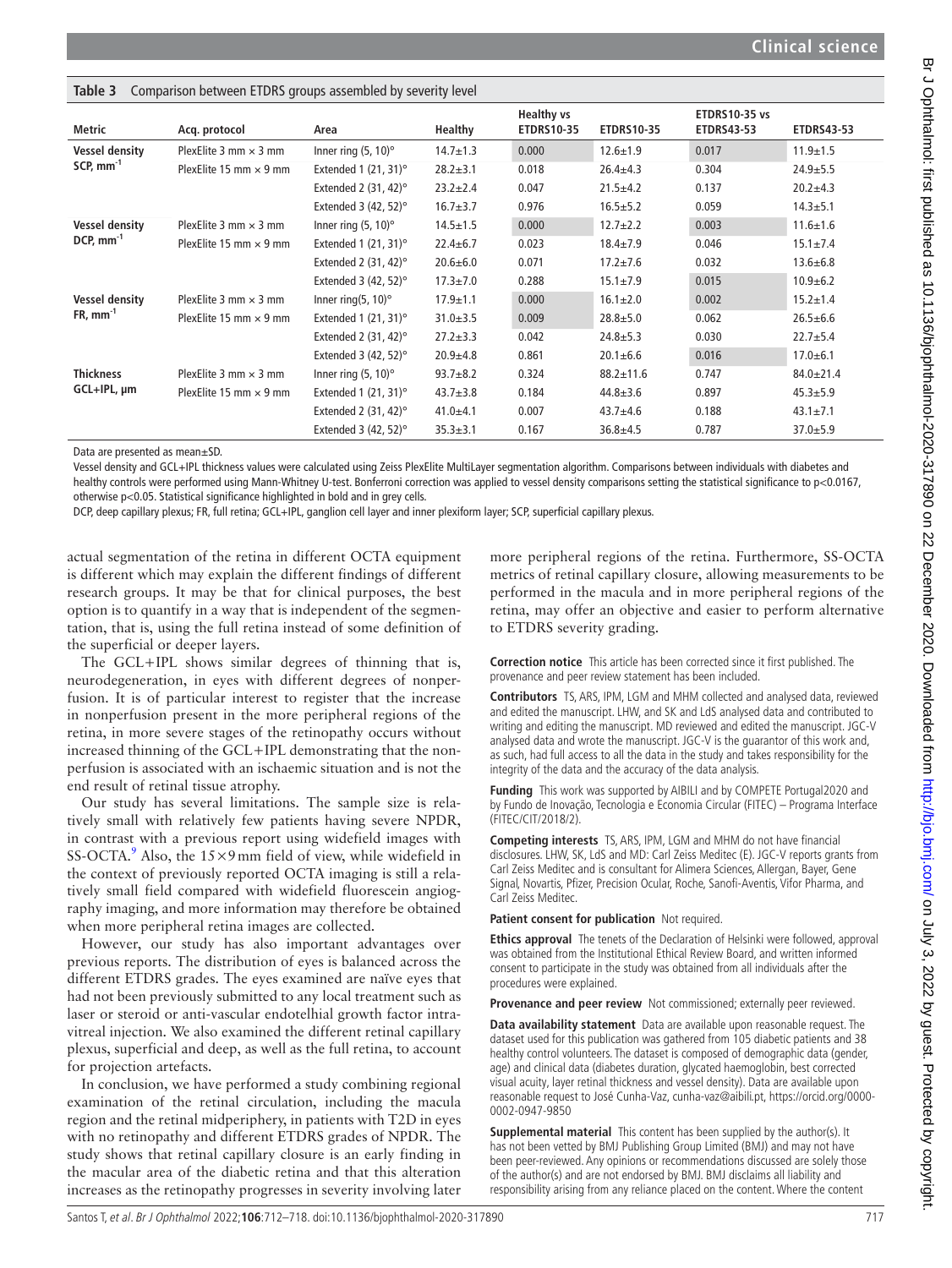| <b>LANIC J</b>        | Companion between LTDNJ groups assembled by severity lever |                              |                |                                        |                   |                                           |                   |
|-----------------------|------------------------------------------------------------|------------------------------|----------------|----------------------------------------|-------------------|-------------------------------------------|-------------------|
| Metric                | Acq. protocol                                              | Area                         | Healthy        | <b>Healthy vs</b><br><b>ETDRS10-35</b> | <b>ETDRS10-35</b> | <b>ETDRS10-35 vs</b><br><b>ETDRS43-53</b> | <b>ETDRS43-53</b> |
| <b>Vessel density</b> | PlexElite 3 mm $\times$ 3 mm                               | Inner ring $(5, 10)^\circ$   | $14.7 \pm 1.3$ | 0.000                                  | $12.6 \pm 1.9$    | 0.017                                     | $11.9 \pm 1.5$    |
| SCP, $mm^{-1}$        | PlexElite 15 mm $\times$ 9 mm                              | Extended 1 $(21, 31)°$       | $28.2 \pm 3.1$ | 0.018                                  | $26.4 \pm 4.3$    | 0.304                                     | $24.9 \pm 5.5$    |
|                       |                                                            | Extended 2 $(31, 42)^\circ$  | $23.2 \pm 2.4$ | 0.047                                  | $21.5 + 4.2$      | 0.137                                     | $20.2 + 4.3$      |
|                       |                                                            | Extended 3 $(42, 52)$ °      | $16.7 + 3.7$   | 0.976                                  | $16.5 \pm 5.2$    | 0.059                                     | $14.3 \pm 5.1$    |
| <b>Vessel density</b> | PlexElite 3 mm $\times$ 3 mm                               | Inner ring $(5, 10)^\circ$   | $14.5 \pm 1.5$ | 0.000                                  | $12.7 \pm 2.2$    | 0.003                                     | $11.6 \pm 1.6$    |
| DCP, $mm^{-1}$        | PlexElite 15 mm $\times$ 9 mm                              | Extended 1 $(21, 31)°$       | $22.4 \pm 6.7$ | 0.023                                  | $18.4 \pm 7.9$    | 0.046                                     | $15.1 \pm 7.4$    |
|                       |                                                            | Extended 2 $(31, 42)^\circ$  | $20.6 + 6.0$   | 0.071                                  | $17.2 \pm 7.6$    | 0.032                                     | $13.6 \pm 6.8$    |
|                       |                                                            | Extended 3 $(42, 52)$ °      | $17.3 \pm 7.0$ | 0.288                                  | $15.1 \pm 7.9$    | 0.015                                     | $10.9 + 6.2$      |
| <b>Vessel density</b> | PlexElite 3 mm $\times$ 3 mm                               | Inner ring(5, 10) $^{\circ}$ | $17.9 \pm 1.1$ | 0.000                                  | $16.1 \pm 2.0$    | 0.002                                     | $15.2 \pm 1.4$    |
| $FR, mm^{-1}$         | PlexElite 15 mm $\times$ 9 mm                              | Extended 1 $(21, 31)^\circ$  | $31.0 \pm 3.5$ | 0.009                                  | $28.8 + 5.0$      | 0.062                                     | $26.5 \pm 6.6$    |
|                       |                                                            | Extended 2 $(31, 42)^\circ$  | $27.2 \pm 3.3$ | 0.042                                  | $24.8 + 5.3$      | 0.030                                     | $22.7 + 5.4$      |
|                       |                                                            | Extended 3 $(42, 52)$ °      | $20.9 + 4.8$   | 0.861                                  | $20.1 + 6.6$      | 0.016                                     | $17.0 \pm 6.1$    |
| <b>Thickness</b>      | PlexElite 3 mm $\times$ 3 mm                               | Inner ring $(5, 10)^\circ$   | $93.7 + 8.2$   | 0.324                                  | $88.2 \pm 11.6$   | 0.747                                     | $84.0 \pm 21.4$   |
| $GCL+IPL$ , $µm$      | PlexElite 15 mm $\times$ 9 mm                              | Extended 1 $(21, 31)^\circ$  | $43.7 \pm 3.8$ | 0.184                                  | $44.8 \pm 3.6$    | 0.897                                     | $45.3 \pm 5.9$    |
|                       |                                                            | Extended 2 $(31, 42)°$       | $41.0 + 4.1$   | 0.007                                  | $43.7 + 4.6$      | 0.188                                     | $43.1 \pm 7.1$    |
|                       |                                                            | Extended 3 $(42, 52)^\circ$  | $35.3 \pm 3.1$ | 0.167                                  | $36.8 + 4.5$      | 0.787                                     | $37.0 + 5.9$      |

Data are presented as mean±SD.

Vessel density and GCL+IPL thickness values were calculated using Zeiss PlexElite MultiLayer segmentation algorithm. Comparisons between individuals with diabetes and healthy controls were performed using Mann-Whitney U-test. Bonferroni correction was applied to vessel density comparisons setting the statistical significance to p<0.0167, otherwise p<0.05. Statistical significance highlighted in bold and in grey cells.

DCP, deep capillary plexus; FR, full retina; GCL+IPL, ganglion cell layer and inner plexiform layer; SCP, superficial capillary plexus.

actual segmentation of the retina in different OCTA equipment is different which may explain the different findings of different research groups. It may be that for clinical purposes, the best option is to quantify in a way that is independent of the segmentation, that is, using the full retina instead of some definition of the superficial or deeper layers.

<span id="page-5-0"></span>**Table 3** Comparison between ETDRS groups assembled by severity level

The GCL+IPL shows similar degrees of thinning that is, neurodegeneration, in eyes with different degrees of nonperfusion. It is of particular interest to register that the increase in nonperfusion present in the more peripheral regions of the retina, in more severe stages of the retinopathy occurs without increased thinning of the GCL+IPL demonstrating that the nonperfusion is associated with an ischaemic situation and is not the end result of retinal tissue atrophy.

Our study has several limitations. The sample size is relatively small with relatively few patients having severe NPDR, in contrast with a previous report using widefield images with SS-OCTA.<sup>9</sup> Also, the  $15 \times 9$  mm field of view, while widefield in the context of previously reported OCTA imaging is still a relatively small field compared with widefield fluorescein angiography imaging, and more information may therefore be obtained when more peripheral retina images are collected.

However, our study has also important advantages over previous reports. The distribution of eyes is balanced across the different ETDRS grades. The eyes examined are naïve eyes that had not been previously submitted to any local treatment such as laser or steroid or anti-vascular endotelhial growth factor intravitreal injection. We also examined the different retinal capillary plexus, superficial and deep, as well as the full retina, to account for projection artefacts.

In conclusion, we have performed a study combining regional examination of the retinal circulation, including the macula region and the retinal midperiphery, in patients with T2D in eyes with no retinopathy and different ETDRS grades of NPDR. The study shows that retinal capillary closure is an early finding in the macular area of the diabetic retina and that this alteration increases as the retinopathy progresses in severity involving later

more peripheral regions of the retina. Furthermore, SS-OCTA metrics of retinal capillary closure, allowing measurements to be performed in the macula and in more peripheral regions of the retina, may offer an objective and easier to perform alternative to ETDRS severity grading.

**Correction notice** This article has been corrected since it first published. The provenance and peer review statement has been included.

**Contributors** TS, ARS, IPM, LGM and MHM collected and analysed data, reviewed and edited the manuscript. LHW, and SK and LdS analysed data and contributed to writing and editing the manuscript. MD reviewed and edited the manuscript. JGC-V analysed data and wrote the manuscript. JGC-V is the guarantor of this work and, as such, had full access to all the data in the study and takes responsibility for the integrity of the data and the accuracy of the data analysis.

**Funding** This work was supported by AIBILI and by COMPETE Portugal2020 and by Fundo de Inovação, Tecnologia e Economia Circular (FITEC) – Programa Interface (FITEC/CIT/2018/2).

**Competing interests** TS, ARS, IPM, LGM and MHM do not have financial disclosures. LHW, SK, LdS and MD: Carl Zeiss Meditec (E). JGC-V reports grants from Carl Zeiss Meditec and is consultant for Alimera Sciences, Allergan, Bayer, Gene Signal, Novartis, Pfizer, Precision Ocular, Roche, Sanofi-Aventis, Vifor Pharma, and Carl Zeiss Meditec.

### **Patient consent for publication** Not required.

**Ethics approval** The tenets of the Declaration of Helsinki were followed, approval was obtained from the Institutional Ethical Review Board, and written informed consent to participate in the study was obtained from all individuals after the procedures were explained.

**Provenance and peer review** Not commissioned; externally peer reviewed.

**Data availability statement** Data are available upon reasonable request. The dataset used for this publication was gathered from 105 diabetic patients and 38 healthy control volunteers. The dataset is composed of demographic data (gender, age) and clinical data (diabetes duration, glycated haemoglobin, best corrected visual acuity, layer retinal thickness and vessel density). Data are available upon reasonable request to José Cunha-Vaz, cunha-vaz@aibili.pt, [https://orcid.org/0000-](https://orcid.org/0000-0002-0947-9850) [0002-0947-9850](https://orcid.org/0000-0002-0947-9850)

**Supplemental material** This content has been supplied by the author(s). It has not been vetted by BMJ Publishing Group Limited (BMJ) and may not have been peer-reviewed. Any opinions or recommendations discussed are solely those of the author(s) and are not endorsed by BMJ. BMJ disclaims all liability and responsibility arising from any reliance placed on the content. Where the content